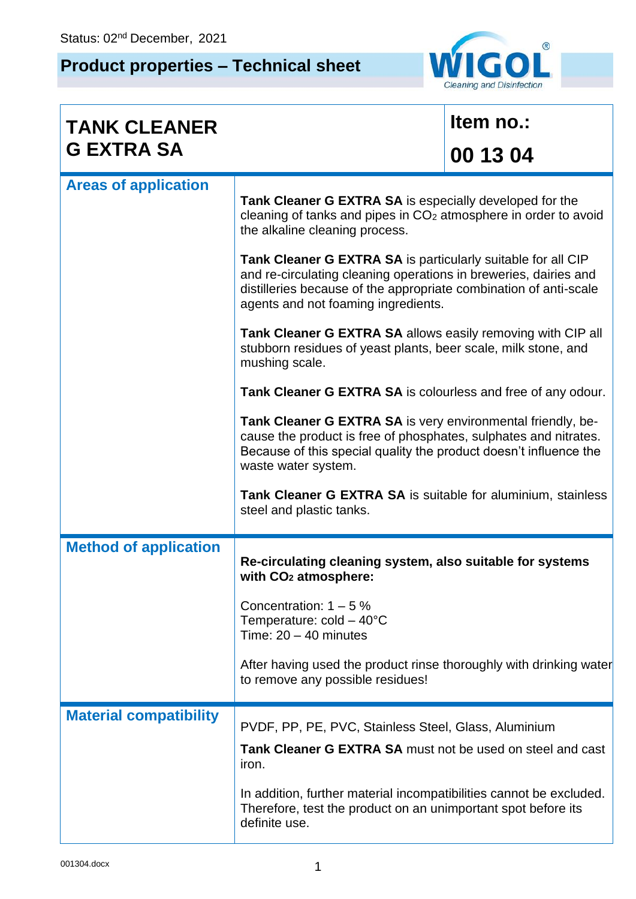## **Product properties – Technical sheet**



| <b>TANK CLEANER</b>           |                                                                                                                                                                                                                                                                                                                                                                                                                                                                                                                                                   | Item no.: |  |  |  |
|-------------------------------|---------------------------------------------------------------------------------------------------------------------------------------------------------------------------------------------------------------------------------------------------------------------------------------------------------------------------------------------------------------------------------------------------------------------------------------------------------------------------------------------------------------------------------------------------|-----------|--|--|--|
| <b>G EXTRA SA</b>             |                                                                                                                                                                                                                                                                                                                                                                                                                                                                                                                                                   | 00 13 04  |  |  |  |
| <b>Areas of application</b>   | Tank Cleaner G EXTRA SA is especially developed for the<br>cleaning of tanks and pipes in CO <sub>2</sub> atmosphere in order to avoid<br>the alkaline cleaning process.                                                                                                                                                                                                                                                                                                                                                                          |           |  |  |  |
|                               | Tank Cleaner G EXTRA SA is particularly suitable for all CIP<br>and re-circulating cleaning operations in breweries, dairies and<br>distilleries because of the appropriate combination of anti-scale<br>agents and not foaming ingredients.                                                                                                                                                                                                                                                                                                      |           |  |  |  |
|                               | Tank Cleaner G EXTRA SA allows easily removing with CIP all<br>stubborn residues of yeast plants, beer scale, milk stone, and<br>mushing scale.<br>Tank Cleaner G EXTRA SA is colourless and free of any odour.<br>Tank Cleaner G EXTRA SA is very environmental friendly, be-<br>cause the product is free of phosphates, sulphates and nitrates.<br>Because of this special quality the product doesn't influence the<br>waste water system.<br><b>Tank Cleaner G EXTRA SA</b> is suitable for aluminium, stainless<br>steel and plastic tanks. |           |  |  |  |
|                               |                                                                                                                                                                                                                                                                                                                                                                                                                                                                                                                                                   |           |  |  |  |
|                               |                                                                                                                                                                                                                                                                                                                                                                                                                                                                                                                                                   |           |  |  |  |
|                               |                                                                                                                                                                                                                                                                                                                                                                                                                                                                                                                                                   |           |  |  |  |
| <b>Method of application</b>  | Re-circulating cleaning system, also suitable for systems<br>with CO <sub>2</sub> atmosphere:                                                                                                                                                                                                                                                                                                                                                                                                                                                     |           |  |  |  |
|                               | Concentration: $1 - 5\%$<br>Temperature: $cold - 40^{\circ}C$<br>Time: $20 - 40$ minutes                                                                                                                                                                                                                                                                                                                                                                                                                                                          |           |  |  |  |
|                               | After having used the product rinse thoroughly with drinking water<br>to remove any possible residues!                                                                                                                                                                                                                                                                                                                                                                                                                                            |           |  |  |  |
| <b>Material compatibility</b> | PVDF, PP, PE, PVC, Stainless Steel, Glass, Aluminium                                                                                                                                                                                                                                                                                                                                                                                                                                                                                              |           |  |  |  |
|                               | Tank Cleaner G EXTRA SA must not be used on steel and cast<br>iron.                                                                                                                                                                                                                                                                                                                                                                                                                                                                               |           |  |  |  |
|                               | In addition, further material incompatibilities cannot be excluded.<br>Therefore, test the product on an unimportant spot before its<br>definite use.                                                                                                                                                                                                                                                                                                                                                                                             |           |  |  |  |